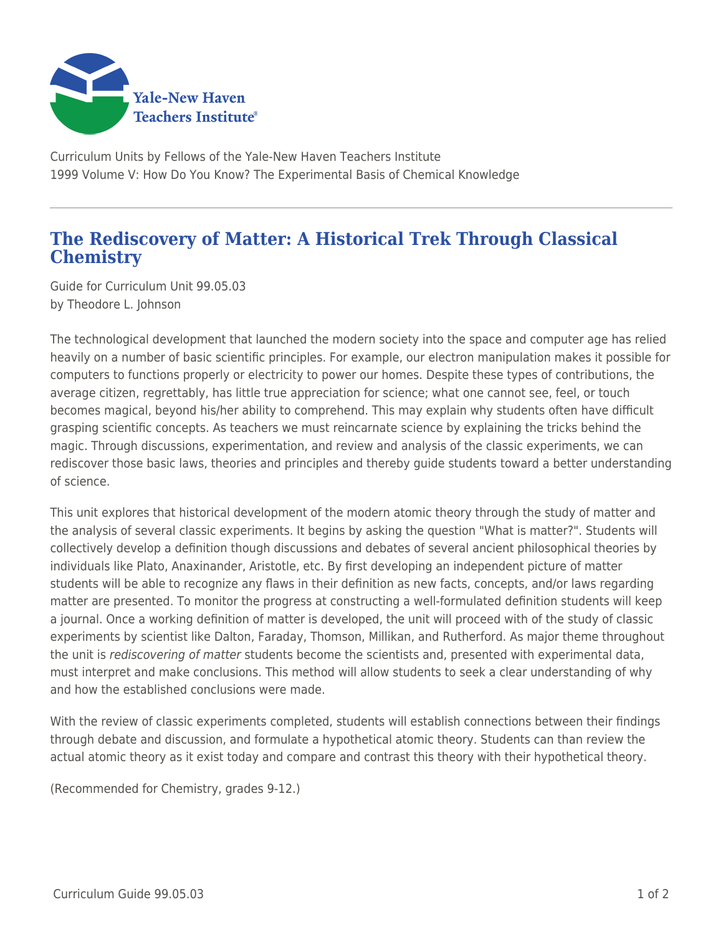

Curriculum Units by Fellows of the Yale-New Haven Teachers Institute 1999 Volume V: How Do You Know? The Experimental Basis of Chemical Knowledge

## **The Rediscovery of Matter: A Historical Trek Through Classical Chemistry**

Guide for Curriculum Unit 99.05.03 by Theodore L. Johnson

The technological development that launched the modern society into the space and computer age has relied heavily on a number of basic scientific principles. For example, our electron manipulation makes it possible for computers to functions properly or electricity to power our homes. Despite these types of contributions, the average citizen, regrettably, has little true appreciation for science; what one cannot see, feel, or touch becomes magical, beyond his/her ability to comprehend. This may explain why students often have difficult grasping scientific concepts. As teachers we must reincarnate science by explaining the tricks behind the magic. Through discussions, experimentation, and review and analysis of the classic experiments, we can rediscover those basic laws, theories and principles and thereby guide students toward a better understanding of science.

This unit explores that historical development of the modern atomic theory through the study of matter and the analysis of several classic experiments. It begins by asking the question "What is matter?". Students will collectively develop a definition though discussions and debates of several ancient philosophical theories by individuals like Plato, Anaxinander, Aristotle, etc. By first developing an independent picture of matter students will be able to recognize any flaws in their definition as new facts, concepts, and/or laws regarding matter are presented. To monitor the progress at constructing a well-formulated definition students will keep a journal. Once a working definition of matter is developed, the unit will proceed with of the study of classic experiments by scientist like Dalton, Faraday, Thomson, Millikan, and Rutherford. As major theme throughout the unit is rediscovering of matter students become the scientists and, presented with experimental data, must interpret and make conclusions. This method will allow students to seek a clear understanding of why and how the established conclusions were made.

With the review of classic experiments completed, students will establish connections between their findings through debate and discussion, and formulate a hypothetical atomic theory. Students can than review the actual atomic theory as it exist today and compare and contrast this theory with their hypothetical theory.

(Recommended for Chemistry, grades 9-12.)